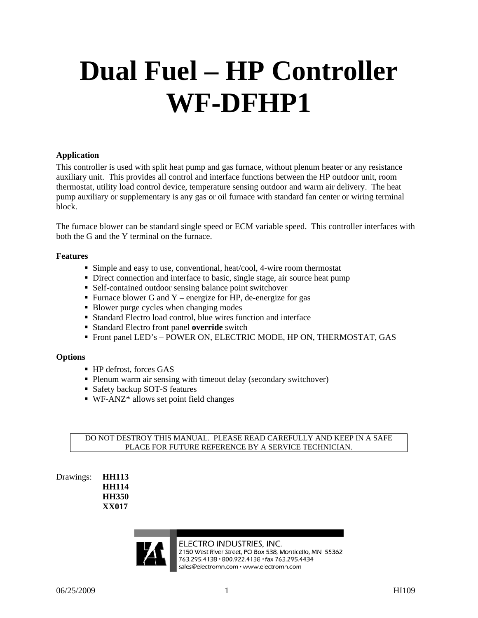# **Dual Fuel – HP Controller WF-DFHP1**

#### **Application**

This controller is used with split heat pump and gas furnace, without plenum heater or any resistance auxiliary unit. This provides all control and interface functions between the HP outdoor unit, room thermostat, utility load control device, temperature sensing outdoor and warm air delivery. The heat pump auxiliary or supplementary is any gas or oil furnace with standard fan center or wiring terminal block.

The furnace blower can be standard single speed or ECM variable speed. This controller interfaces with both the G and the Y terminal on the furnace.

#### **Features**

- Simple and easy to use, conventional, heat/cool, 4-wire room thermostat
- Direct connection and interface to basic, single stage, air source heat pump
- Self-contained outdoor sensing balance point switchover
- **Furnace blower G and Y** energize for HP, de-energize for gas
- Blower purge cycles when changing modes
- Standard Electro load control, blue wires function and interface
- Standard Electro front panel **override** switch
- Front panel LED's POWER ON, ELECTRIC MODE, HP ON, THERMOSTAT, GAS

#### **Options**

- HP defrost, forces GAS
- Plenum warm air sensing with timeout delay (secondary switchover)
- Safety backup SOT-S features
- WF-ANZ\* allows set point field changes

#### DO NOT DESTROY THIS MANUAL. PLEASE READ CAREFULLY AND KEEP IN A SAFE PLACE FOR FUTURE REFERENCE BY A SERVICE TECHNICIAN.

Drawings: **HH113 HH114 HH350 XX017** 

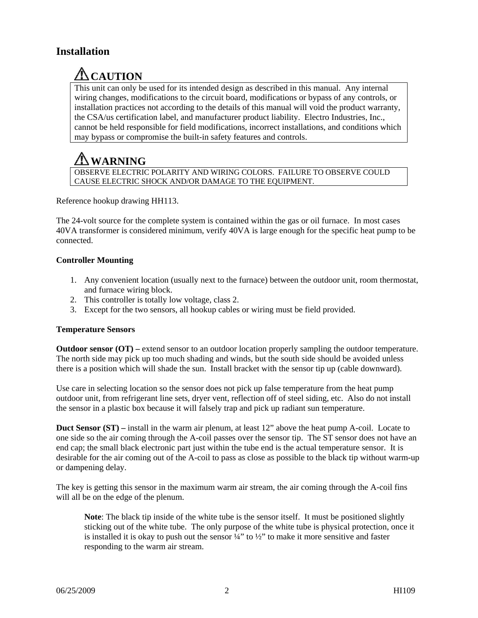# **Installation**

# **TACAUTION**

This unit can only be used for its intended design as described in this manual. Any internal wiring changes, modifications to the circuit board, modifications or bypass of any controls, or installation practices not according to the details of this manual will void the product warranty, the CSA/us certification label, and manufacturer product liability. Electro Industries, Inc., cannot be held responsible for field modifications, incorrect installations, and conditions which may bypass or compromise the built-in safety features and controls.

# **WARNING**

OBSERVE ELECTRIC POLARITY AND WIRING COLORS. FAILURE TO OBSERVE COULD CAUSE ELECTRIC SHOCK AND/OR DAMAGE TO THE EQUIPMENT.

Reference hookup drawing HH113.

The 24-volt source for the complete system is contained within the gas or oil furnace. In most cases 40VA transformer is considered minimum, verify 40VA is large enough for the specific heat pump to be connected.

#### **Controller Mounting**

- 1. Any convenient location (usually next to the furnace) between the outdoor unit, room thermostat, and furnace wiring block.
- 2. This controller is totally low voltage, class 2.
- 3. Except for the two sensors, all hookup cables or wiring must be field provided.

#### **Temperature Sensors**

**Outdoor sensor (OT) –** extend sensor to an outdoor location properly sampling the outdoor temperature. The north side may pick up too much shading and winds, but the south side should be avoided unless there is a position which will shade the sun. Install bracket with the sensor tip up (cable downward).

Use care in selecting location so the sensor does not pick up false temperature from the heat pump outdoor unit, from refrigerant line sets, dryer vent, reflection off of steel siding, etc. Also do not install the sensor in a plastic box because it will falsely trap and pick up radiant sun temperature.

**Duct Sensor (ST)** – install in the warm air plenum, at least 12" above the heat pump A-coil. Locate to one side so the air coming through the A-coil passes over the sensor tip. The ST sensor does not have an end cap; the small black electronic part just within the tube end is the actual temperature sensor. It is desirable for the air coming out of the A-coil to pass as close as possible to the black tip without warm-up or dampening delay.

The key is getting this sensor in the maximum warm air stream, the air coming through the A-coil fins will all be on the edge of the plenum.

**Note:** The black tip inside of the white tube is the sensor itself. It must be positioned slightly sticking out of the white tube. The only purpose of the white tube is physical protection, once it is installed it is okay to push out the sensor  $\frac{1}{4}$  to  $\frac{1}{2}$  to make it more sensitive and faster responding to the warm air stream.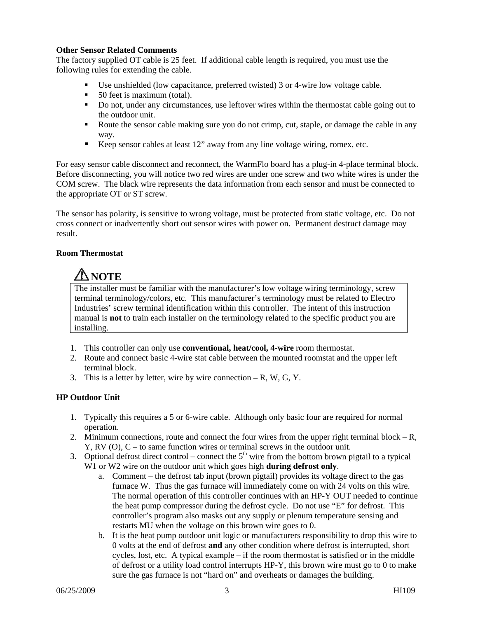#### **Other Sensor Related Comments**

The factory supplied OT cable is 25 feet. If additional cable length is required, you must use the following rules for extending the cable.

- Use unshielded (low capacitance, preferred twisted) 3 or 4-wire low voltage cable.
- 50 feet is maximum (total).
- Do not, under any circumstances, use leftover wires within the thermostat cable going out to the outdoor unit.
- Route the sensor cable making sure you do not crimp, cut, staple, or damage the cable in any way.
- Keep sensor cables at least 12" away from any line voltage wiring, romex, etc.

For easy sensor cable disconnect and reconnect, the WarmFlo board has a plug-in 4-place terminal block. Before disconnecting, you will notice two red wires are under one screw and two white wires is under the COM screw. The black wire represents the data information from each sensor and must be connected to the appropriate OT or ST screw.

The sensor has polarity, is sensitive to wrong voltage, must be protected from static voltage, etc. Do not cross connect or inadvertently short out sensor wires with power on. Permanent destruct damage may result.

#### **Room Thermostat**

# **ANOTE**

The installer must be familiar with the manufacturer's low voltage wiring terminology, screw terminal terminology/colors, etc. This manufacturer's terminology must be related to Electro Industries' screw terminal identification within this controller. The intent of this instruction manual is **not** to train each installer on the terminology related to the specific product you are installing.

- 1. This controller can only use **conventional, heat/cool, 4-wire** room thermostat.
- 2. Route and connect basic 4-wire stat cable between the mounted roomstat and the upper left terminal block.
- 3. This is a letter by letter, wire by wire connection  $-R$ , W, G, Y.

#### **HP Outdoor Unit**

- 1. Typically this requires a 5 or 6-wire cable. Although only basic four are required for normal operation.
- 2. Minimum connections, route and connect the four wires from the upper right terminal block  $-R$ , Y, RV (O), C – to same function wires or terminal screws in the outdoor unit.
- 3. Optional defrost direct control connect the  $5<sup>th</sup>$  wire from the bottom brown pigtail to a typical W1 or W2 wire on the outdoor unit which goes high **during defrost only**.
	- a. Comment the defrost tab input (brown pigtail) provides its voltage direct to the gas furnace W. Thus the gas furnace will immediately come on with 24 volts on this wire. The normal operation of this controller continues with an HP-Y OUT needed to continue the heat pump compressor during the defrost cycle. Do not use "E" for defrost. This controller's program also masks out any supply or plenum temperature sensing and restarts MU when the voltage on this brown wire goes to 0.
	- b. It is the heat pump outdoor unit logic or manufacturers responsibility to drop this wire to 0 volts at the end of defrost **and** any other condition where defrost is interrupted, short cycles, lost, etc. A typical example – if the room thermostat is satisfied or in the middle of defrost or a utility load control interrupts HP-Y, this brown wire must go to 0 to make sure the gas furnace is not "hard on" and overheats or damages the building.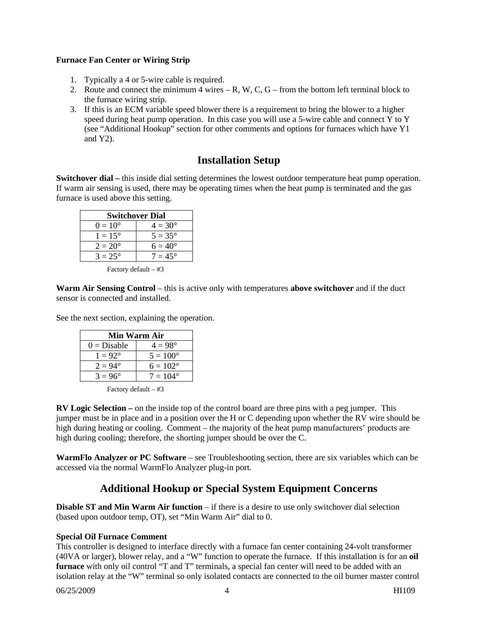#### **Furnace Fan Center or Wiring Strip**

- 1. Typically a 4 or 5-wire cable is required.
- 2. Route and connect the minimum 4 wires  $-R$ , W, C, G from the bottom left terminal block to the furnace wiring strip.
- 3. If this is an ECM variable speed blower there is a requirement to bring the blower to a higher speed during heat pump operation. In this case you will use a 5-wire cable and connect Y to Y (see "Additional Hookup" section for other comments and options for furnaces which have Y1 and Y2).

# **Installation Setup**

**Switchover dial – this inside dial setting determines the lowest outdoor temperature heat pump operation.** If warm air sensing is used, there may be operating times when the heat pump is terminated and the gas furnace is used above this setting.

| <b>Switchover Dial</b> |                  |  |
|------------------------|------------------|--|
| $0 = 10^{\circ}$       | $4 = 30^{\circ}$ |  |
| $1 = 15^{\circ}$       | $5 = 35^{\circ}$ |  |
| $2 = 20^{\circ}$       | $6 = 40^{\circ}$ |  |
| $3 = 25^{\circ}$       | $7 = 45^{\circ}$ |  |

Factory default – #3

**Warm Air Sensing Control** – this is active only with temperatures **above switchover** and if the duct sensor is connected and installed.

See the next section, explaining the operation.

| Min Warm Air     |                   |  |
|------------------|-------------------|--|
| $0 = Disable$    | $4 = 98^{\circ}$  |  |
| $1 = 92^{\circ}$ | $5 = 100^{\circ}$ |  |
| $2 = 94^{\circ}$ | $6 = 102^{\circ}$ |  |
| $3 = 96^{\circ}$ | $7 = 104^{\circ}$ |  |

Factory default – #3

**RV Logic Selection –** on the inside top of the control board are three pins with a peg jumper. This jumper must be in place and in a position over the H or C depending upon whether the RV wire should be high during heating or cooling. Comment – the majority of the heat pump manufacturers' products are high during cooling; therefore, the shorting jumper should be over the C.

**WarmFlo Analyzer or PC Software** – see Troubleshooting section, there are six variables which can be accessed via the normal WarmFlo Analyzer plug-in port.

# **Additional Hookup or Special System Equipment Concerns**

**Disable ST and Min Warm Air function** – if there is a desire to use only switchover dial selection (based upon outdoor temp, OT), set "Min Warm Air" dial to 0.

#### **Special Oil Furnace Comment**

This controller is designed to interface directly with a furnace fan center containing 24-volt transformer (40VA or larger), blower relay, and a "W" function to operate the furnace. If this installation is for an **oil furnace** with only oil control "T and T" terminals, a special fan center will need to be added with an isolation relay at the "W" terminal so only isolated contacts are connected to the oil burner master control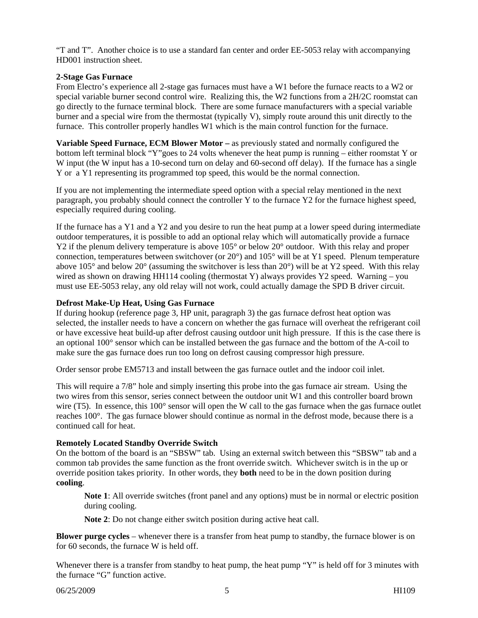"T and T". Another choice is to use a standard fan center and order EE-5053 relay with accompanying HD001 instruction sheet.

#### **2-Stage Gas Furnace**

From Electro's experience all 2-stage gas furnaces must have a W1 before the furnace reacts to a W2 or special variable burner second control wire. Realizing this, the W2 functions from a 2H/2C roomstat can go directly to the furnace terminal block. There are some furnace manufacturers with a special variable burner and a special wire from the thermostat (typically V), simply route around this unit directly to the furnace. This controller properly handles W1 which is the main control function for the furnace.

**Variable Speed Furnace, ECM Blower Motor** – as previously stated and normally configured the bottom left terminal block "Y"goes to 24 volts whenever the heat pump is running – either roomstat Y or W input (the W input has a 10-second turn on delay and 60-second off delay). If the furnace has a single Y or a Y1 representing its programmed top speed, this would be the normal connection.

If you are not implementing the intermediate speed option with a special relay mentioned in the next paragraph, you probably should connect the controller Y to the furnace Y2 for the furnace highest speed, especially required during cooling.

If the furnace has a Y1 and a Y2 and you desire to run the heat pump at a lower speed during intermediate outdoor temperatures, it is possible to add an optional relay which will automatically provide a furnace Y2 if the plenum delivery temperature is above 105<sup>°</sup> or below 20<sup>°</sup> outdoor. With this relay and proper connection, temperatures between switchover (or 20°) and 105° will be at Y1 speed. Plenum temperature above 105° and below 20° (assuming the switchover is less than 20°) will be at Y2 speed. With this relay wired as shown on drawing HH114 cooling (thermostat Y) always provides Y2 speed. Warning – you must use EE-5053 relay, any old relay will not work, could actually damage the SPD B driver circuit.

#### **Defrost Make-Up Heat, Using Gas Furnace**

If during hookup (reference page 3, HP unit, paragraph 3) the gas furnace defrost heat option was selected, the installer needs to have a concern on whether the gas furnace will overheat the refrigerant coil or have excessive heat build-up after defrost causing outdoor unit high pressure. If this is the case there is an optional 100° sensor which can be installed between the gas furnace and the bottom of the A-coil to make sure the gas furnace does run too long on defrost causing compressor high pressure.

Order sensor probe EM5713 and install between the gas furnace outlet and the indoor coil inlet.

This will require a 7/8" hole and simply inserting this probe into the gas furnace air stream. Using the two wires from this sensor, series connect between the outdoor unit W1 and this controller board brown wire (T5). In essence, this 100° sensor will open the W call to the gas furnace when the gas furnace outlet reaches 100°. The gas furnace blower should continue as normal in the defrost mode, because there is a continued call for heat.

#### **Remotely Located Standby Override Switch**

On the bottom of the board is an "SBSW" tab. Using an external switch between this "SBSW" tab and a common tab provides the same function as the front override switch. Whichever switch is in the up or override position takes priority. In other words, they **both** need to be in the down position during **cooling**.

**Note 1**: All override switches (front panel and any options) must be in normal or electric position during cooling.

**Note 2**: Do not change either switch position during active heat call.

**Blower purge cycles** – whenever there is a transfer from heat pump to standby, the furnace blower is on for 60 seconds, the furnace W is held off.

Whenever there is a transfer from standby to heat pump, the heat pump "Y" is held off for 3 minutes with the furnace "G" function active.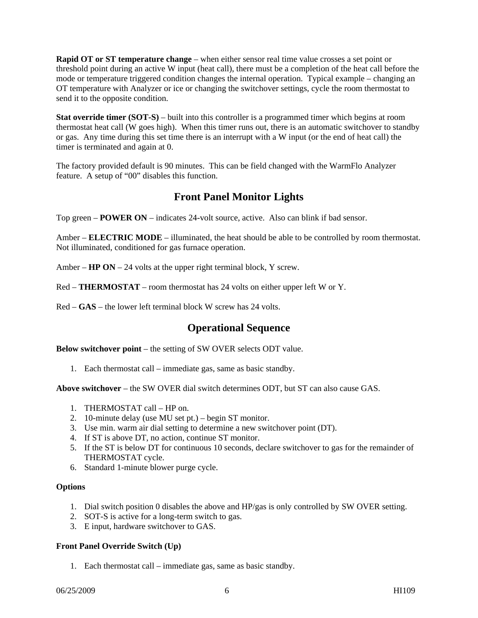**Rapid OT or ST temperature change** – when either sensor real time value crosses a set point or threshold point during an active W input (heat call), there must be a completion of the heat call before the mode or temperature triggered condition changes the internal operation. Typical example – changing an OT temperature with Analyzer or ice or changing the switchover settings, cycle the room thermostat to send it to the opposite condition.

**Stat override timer (SOT-S)** – built into this controller is a programmed timer which begins at room thermostat heat call (W goes high). When this timer runs out, there is an automatic switchover to standby or gas. Any time during this set time there is an interrupt with a W input (or the end of heat call) the timer is terminated and again at 0.

The factory provided default is 90 minutes. This can be field changed with the WarmFlo Analyzer feature. A setup of "00" disables this function.

# **Front Panel Monitor Lights**

Top green – **POWER ON** – indicates 24-volt source, active. Also can blink if bad sensor.

Amber – **ELECTRIC MODE** – illuminated, the heat should be able to be controlled by room thermostat. Not illuminated, conditioned for gas furnace operation.

Amber – **HP ON** – 24 volts at the upper right terminal block, Y screw.

Red – **THERMOSTAT** – room thermostat has 24 volts on either upper left W or Y.

Red – **GAS** – the lower left terminal block W screw has 24 volts.

## **Operational Sequence**

**Below switchover point** – the setting of SW OVER selects ODT value.

1. Each thermostat call – immediate gas, same as basic standby.

**Above switchover** – the SW OVER dial switch determines ODT, but ST can also cause GAS.

- 1. THERMOSTAT call HP on.
- 2. 10-minute delay (use MU set pt.) begin ST monitor.
- 3. Use min. warm air dial setting to determine a new switchover point (DT).
- 4. If ST is above DT, no action, continue ST monitor.
- 5. If the ST is below DT for continuous 10 seconds, declare switchover to gas for the remainder of THERMOSTAT cycle.
- 6. Standard 1-minute blower purge cycle.

#### **Options**

- 1. Dial switch position 0 disables the above and HP/gas is only controlled by SW OVER setting.
- 2. SOT-S is active for a long-term switch to gas.
- 3. E input, hardware switchover to GAS.

#### **Front Panel Override Switch (Up)**

1. Each thermostat call – immediate gas, same as basic standby.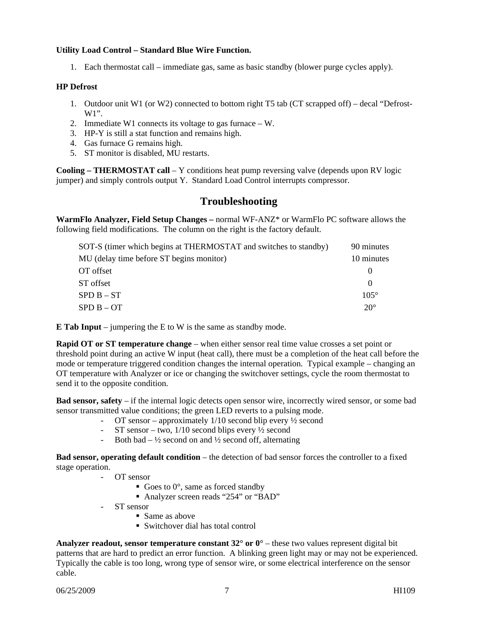#### **Utility Load Control – Standard Blue Wire Function.**

1. Each thermostat call – immediate gas, same as basic standby (blower purge cycles apply).

#### **HP Defrost**

- 1. Outdoor unit W1 (or W2) connected to bottom right T5 tab (CT scrapped off) decal "Defrost-W1".
- 2. Immediate W1 connects its voltage to gas furnace W.
- 3. HP-Y is still a stat function and remains high.
- 4. Gas furnace G remains high.
- 5. ST monitor is disabled, MU restarts.

**Cooling – THERMOSTAT call** – Y conditions heat pump reversing valve (depends upon RV logic jumper) and simply controls output Y. Standard Load Control interrupts compressor.

# **Troubleshooting**

**WarmFlo Analyzer, Field Setup Changes –** normal WF-ANZ\* or WarmFlo PC software allows the following field modifications. The column on the right is the factory default.

| SOT-S (timer which begins at THERMOSTAT and switches to standby) | 90 minutes   |
|------------------------------------------------------------------|--------------|
| MU (delay time before ST begins monitor)                         | 10 minutes   |
| OT offset                                                        | $\theta$     |
| ST offset                                                        | $\Omega$     |
| $SPD B - ST$                                                     | $105^\circ$  |
| $SPD B - OT$                                                     | $20^{\circ}$ |

**E Tab Input** – jumpering the E to W is the same as standby mode.

**Rapid OT or ST temperature change** – when either sensor real time value crosses a set point or threshold point during an active W input (heat call), there must be a completion of the heat call before the mode or temperature triggered condition changes the internal operation. Typical example – changing an OT temperature with Analyzer or ice or changing the switchover settings, cycle the room thermostat to send it to the opposite condition.

**Bad sensor, safety** – if the internal logic detects open sensor wire, incorrectly wired sensor, or some bad sensor transmitted value conditions; the green LED reverts to a pulsing mode.

- OT sensor approximately 1/10 second blip every ½ second
- ST sensor two,  $1/10$  second blips every  $\frac{1}{2}$  second
- Both bad  $\frac{1}{2}$  second on and  $\frac{1}{2}$  second off, alternating

**Bad sensor, operating default condition** – the detection of bad sensor forces the controller to a fixed stage operation.

- OT sensor
	- Goes to  $0^\circ$ , same as forced standby
	- Analyzer screen reads "254" or "BAD"
- ST sensor
	- Same as above
	- Switchover dial has total control

**Analyzer readout, sensor temperature constant 32° or 0°** – these two values represent digital bit patterns that are hard to predict an error function. A blinking green light may or may not be experienced. Typically the cable is too long, wrong type of sensor wire, or some electrical interference on the sensor cable.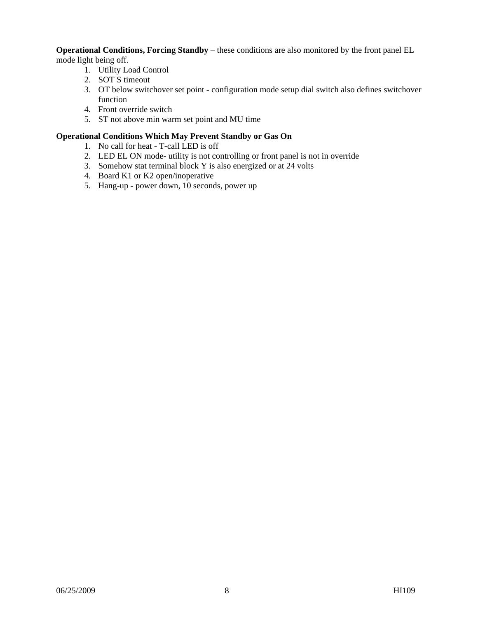**Operational Conditions, Forcing Standby** – these conditions are also monitored by the front panel EL mode light being off.

- 1. Utility Load Control
- 2. SOT S timeout
- 3. OT below switchover set point configuration mode setup dial switch also defines switchover function
- 4. Front override switch
- 5. ST not above min warm set point and MU time

#### **Operational Conditions Which May Prevent Standby or Gas On**

- 1. No call for heat T-call LED is off
- 2. LED EL ON mode- utility is not controlling or front panel is not in override
- 3. Somehow stat terminal block Y is also energized or at 24 volts
- 4. Board K1 or K2 open/inoperative
- 5. Hang-up power down, 10 seconds, power up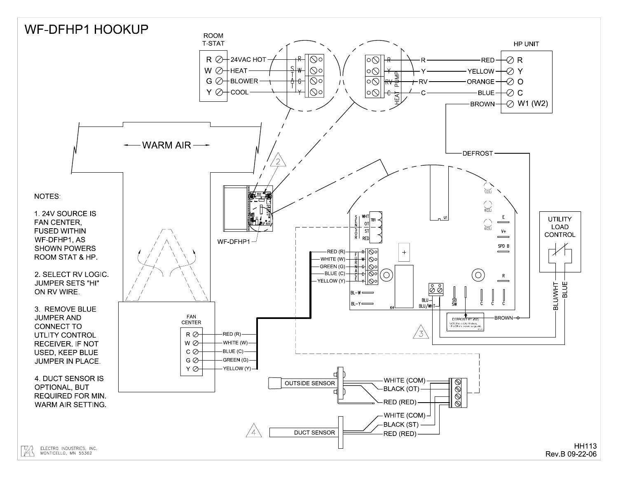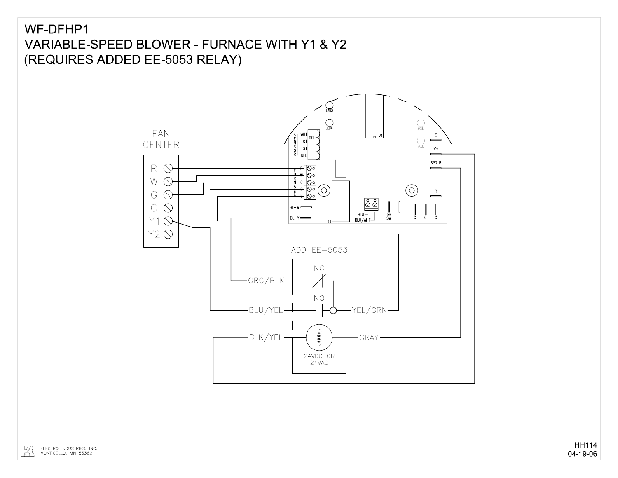# WF-DFHP1 VARIABLE-SPEED BLOWER - FURNACE WITH Y1 & Y2 (REQUIRES ADDED EE-5053 RELAY)

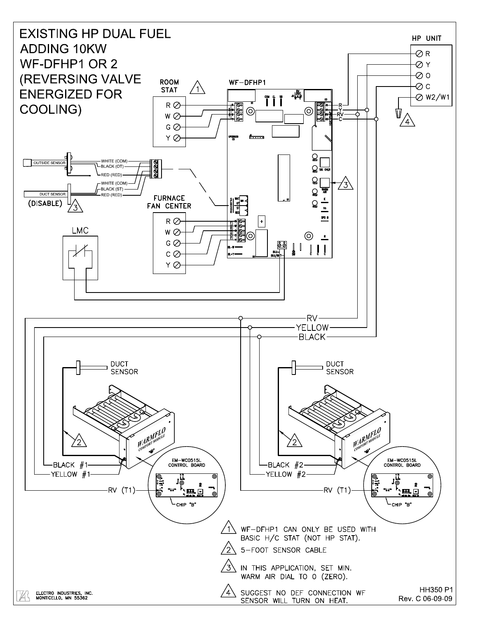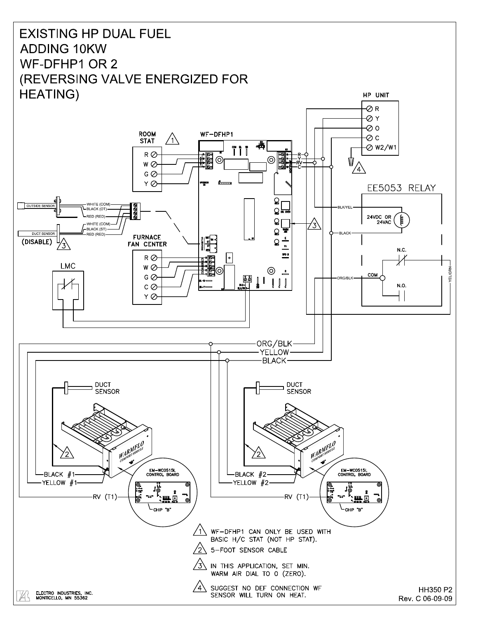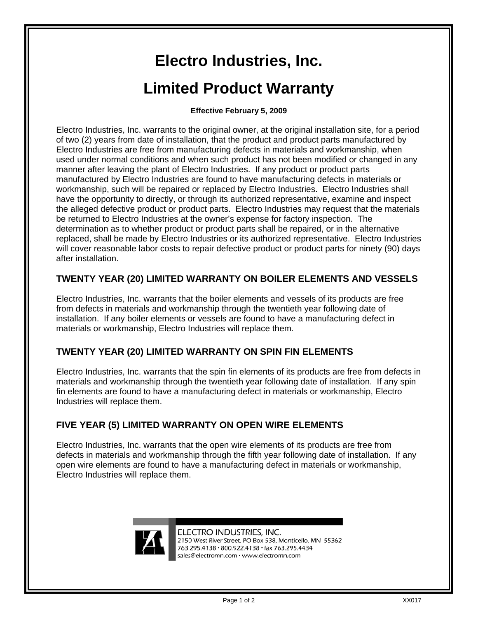# **Electro Industries, Inc. Limited Product Warranty**

#### **Effective February 5, 2009**

Electro Industries, Inc. warrants to the original owner, at the original installation site, for a period of two (2) years from date of installation, that the product and product parts manufactured by Electro Industries are free from manufacturing defects in materials and workmanship, when used under normal conditions and when such product has not been modified or changed in any manner after leaving the plant of Electro Industries. If any product or product parts manufactured by Electro Industries are found to have manufacturing defects in materials or workmanship, such will be repaired or replaced by Electro Industries. Electro Industries shall have the opportunity to directly, or through its authorized representative, examine and inspect the alleged defective product or product parts. Electro Industries may request that the materials be returned to Electro Industries at the owner's expense for factory inspection. The determination as to whether product or product parts shall be repaired, or in the alternative replaced, shall be made by Electro Industries or its authorized representative. Electro Industries will cover reasonable labor costs to repair defective product or product parts for ninety (90) days after installation.

## **TWENTY YEAR (20) LIMITED WARRANTY ON BOILER ELEMENTS AND VESSELS**

Electro Industries, Inc. warrants that the boiler elements and vessels of its products are free from defects in materials and workmanship through the twentieth year following date of installation. If any boiler elements or vessels are found to have a manufacturing defect in materials or workmanship, Electro Industries will replace them.

## **TWENTY YEAR (20) LIMITED WARRANTY ON SPIN FIN ELEMENTS**

Electro Industries, Inc. warrants that the spin fin elements of its products are free from defects in materials and workmanship through the twentieth year following date of installation. If any spin fin elements are found to have a manufacturing defect in materials or workmanship, Electro Industries will replace them.

## **FIVE YEAR (5) LIMITED WARRANTY ON OPEN WIRE ELEMENTS**

Electro Industries, Inc. warrants that the open wire elements of its products are free from defects in materials and workmanship through the fifth year following date of installation. If any open wire elements are found to have a manufacturing defect in materials or workmanship, Electro Industries will replace them.



ELECTRO INDUSTRIES, INC. 2150 West River Street. PO Box 538. Monticello, MN 55362 763.295.4138 · 800.922.4138 · fax 763.295.4434 sales@electromn.com · www.electromn.com